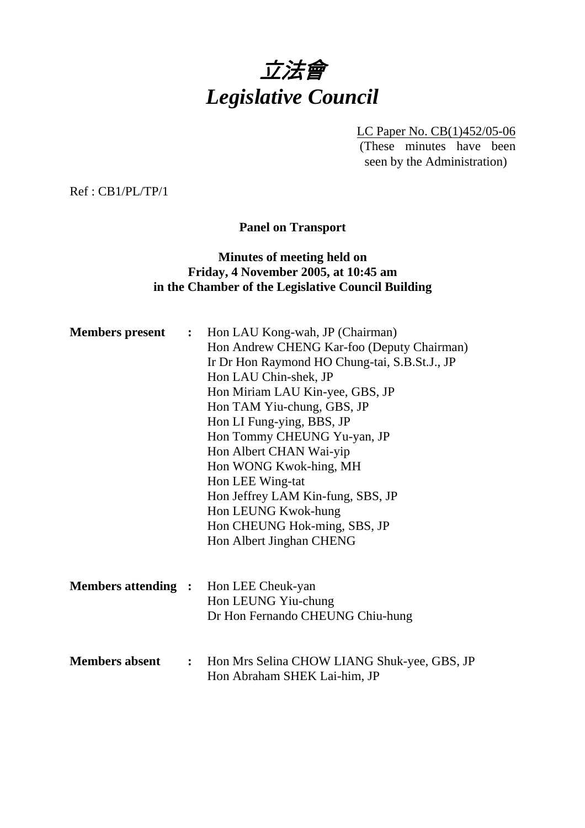

LC Paper No. CB(1)452/05-06 (These minutes have been seen by the Administration)

Ref : CB1/PL/TP/1

**Panel on Transport** 

## **Minutes of meeting held on Friday, 4 November 2005, at 10:45 am in the Chamber of the Legislative Council Building**

|  | <b>Members present :</b> Hon LAU Kong-wah, JP (Chairman)            |
|--|---------------------------------------------------------------------|
|  | Hon Andrew CHENG Kar-foo (Deputy Chairman)                          |
|  | Ir Dr Hon Raymond HO Chung-tai, S.B.St.J., JP                       |
|  | Hon LAU Chin-shek, JP                                               |
|  | Hon Miriam LAU Kin-yee, GBS, JP                                     |
|  | Hon TAM Yiu-chung, GBS, JP                                          |
|  | Hon LI Fung-ying, BBS, JP                                           |
|  | Hon Tommy CHEUNG Yu-yan, JP                                         |
|  | Hon Albert CHAN Wai-yip                                             |
|  | Hon WONG Kwok-hing, MH                                              |
|  | Hon LEE Wing-tat                                                    |
|  | Hon Jeffrey LAM Kin-fung, SBS, JP                                   |
|  | Hon LEUNG Kwok-hung                                                 |
|  | Hon CHEUNG Hok-ming, SBS, JP                                        |
|  | Hon Albert Jinghan CHENG                                            |
|  |                                                                     |
|  | <b>Members attending :</b> Hon LEE Cheuk-yan                        |
|  | Hon LEUNG Yiu-chung                                                 |
|  | Dr Hon Fernando CHEUNG Chiu-hung                                    |
|  |                                                                     |
|  | <b>Members absent : Hon Mrs Selina CHOW LIANG Shuk-yee, GBS, JP</b> |
|  | Hon Abraham SHEK Lai-him, JP                                        |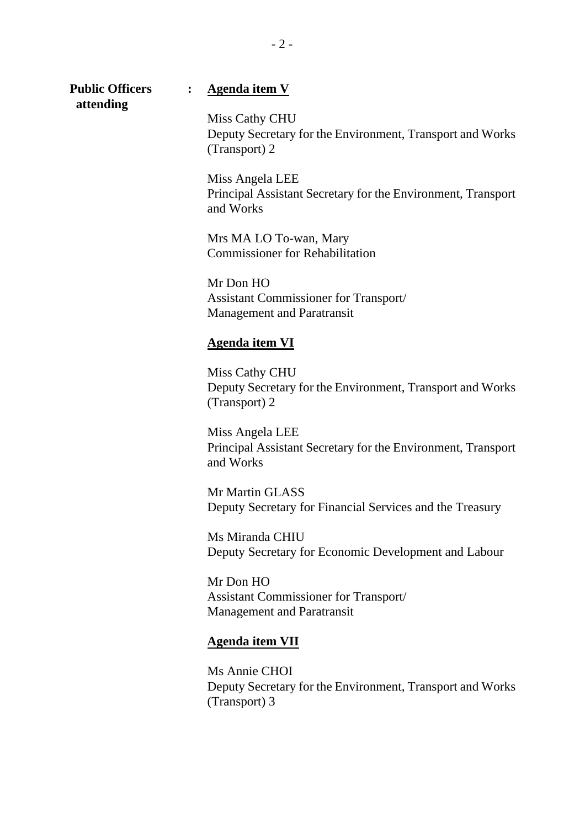**attending** 

#### **Public Officers : Agenda item V**

Miss Cathy CHU Deputy Secretary for the Environment, Transport and Works (Transport) 2

Miss Angela LEE Principal Assistant Secretary for the Environment, Transport and Works

Mrs MA LO To-wan, Mary Commissioner for Rehabilitation

Mr Don HO Assistant Commissioner for Transport/ Management and Paratransit

#### **Agenda item VI**

Miss Cathy CHU Deputy Secretary for the Environment, Transport and Works (Transport) 2

Miss Angela LEE Principal Assistant Secretary for the Environment, Transport and Works

Mr Martin GLASS Deputy Secretary for Financial Services and the Treasury

Ms Miranda CHIU Deputy Secretary for Economic Development and Labour

Mr Don HO Assistant Commissioner for Transport/ Management and Paratransit

#### **Agenda item VII**

Ms Annie CHOI Deputy Secretary for the Environment, Transport and Works (Transport) 3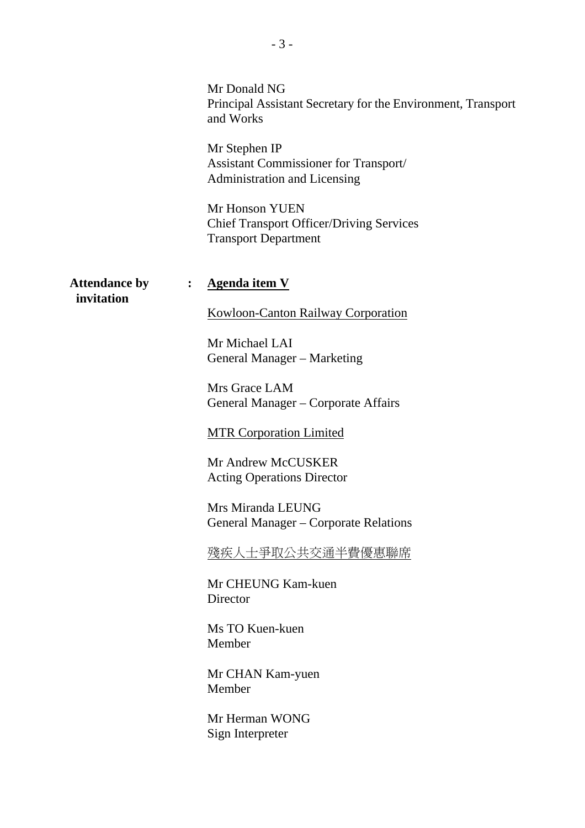|                                    |                | Mr Donald NG<br>Principal Assistant Secretary for the Environment, Transport<br>and Works<br>Mr Stephen IP<br>Assistant Commissioner for Transport/<br>Administration and Licensing<br>Mr Honson YUEN<br><b>Chief Transport Officer/Driving Services</b><br><b>Transport Department</b>                                                                                                                                                                                                      |
|------------------------------------|----------------|----------------------------------------------------------------------------------------------------------------------------------------------------------------------------------------------------------------------------------------------------------------------------------------------------------------------------------------------------------------------------------------------------------------------------------------------------------------------------------------------|
| <b>Attendance by</b><br>invitation | $\ddot{\cdot}$ | <b>Agenda item V</b><br><b>Kowloon-Canton Railway Corporation</b><br>Mr Michael LAI<br>General Manager - Marketing<br>Mrs Grace LAM<br>General Manager - Corporate Affairs<br><b>MTR Corporation Limited</b><br>Mr Andrew McCUSKER<br><b>Acting Operations Director</b><br>Mrs Miranda LEUNG<br>General Manager – Corporate Relations<br>殘疾人士爭取公共交通半費優惠聯席<br>Mr CHEUNG Kam-kuen<br>Director<br>Ms TO Kuen-kuen<br>Member<br>Mr CHAN Kam-yuen<br>Member<br>Mr Herman WONG<br>Sign Interpreter |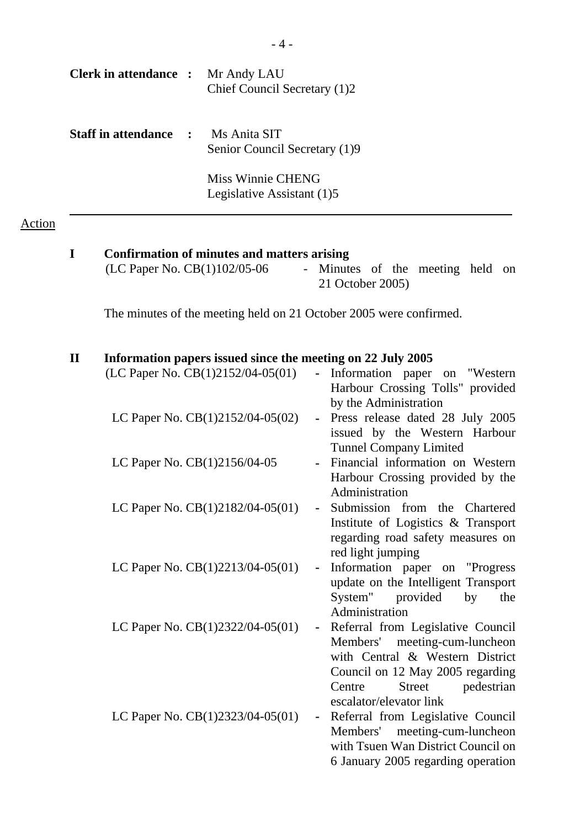| Clerk in attendance : Mr Andy LAU                                                                                                                                                                              |  | Chief Council Secretary (1)2                                                     |  |  |  |
|----------------------------------------------------------------------------------------------------------------------------------------------------------------------------------------------------------------|--|----------------------------------------------------------------------------------|--|--|--|
| <b>Staff in attendance : Ms Anita SIT</b>                                                                                                                                                                      |  | Senior Council Secretary (1)9<br>Miss Winnie CHENG<br>Legislative Assistant (1)5 |  |  |  |
| I<br>Confirmation of minutes and matters arising<br>(LC Paper No. CB(1)102/05-06<br>- Minutes of the meeting held on<br>21 October 2005)<br>The minutes of the meeting held on 21 October 2005 were confirmed. |  |                                                                                  |  |  |  |

Action

## **II Information papers issued since the meeting on 22 July 2005**

| (LC Paper No. CB(1)2152/04-05(01) | - Information paper on "Western<br>Harbour Crossing Tolls" provided                                                                               |
|-----------------------------------|---------------------------------------------------------------------------------------------------------------------------------------------------|
| LC Paper No. CB(1)2152/04-05(02)  | by the Administration<br>- Press release dated 28 July 2005<br>issued by the Western Harbour                                                      |
| LC Paper No. CB(1)2156/04-05      | <b>Tunnel Company Limited</b><br>Financial information on Western<br>Harbour Crossing provided by the                                             |
| LC Paper No. CB(1)2182/04-05(01)  | Administration<br>Submission from the Chartered<br>$\sim$<br>Institute of Logistics & Transport<br>regarding road safety measures on              |
| LC Paper No. CB(1)2213/04-05(01)  | red light jumping<br>Information paper on "Progress"<br>$\blacksquare$<br>update on the Intelligent Transport<br>System" provided<br>by<br>the    |
| LC Paper No. CB(1)2322/04-05(01)  | Administration<br>Referral from Legislative Council<br>Members' meeting-cum-luncheon<br>with Central & Western District                           |
| LC Paper No. CB(1)2323/04-05(01)  | Council on 12 May 2005 regarding<br>Street pedestrian<br>Centre<br>escalator/elevator link<br>Referral from Legislative Council<br>$\blacksquare$ |
|                                   | Members' meeting-cum-luncheon<br>with Tsuen Wan District Council on<br>6 January 2005 regarding operation                                         |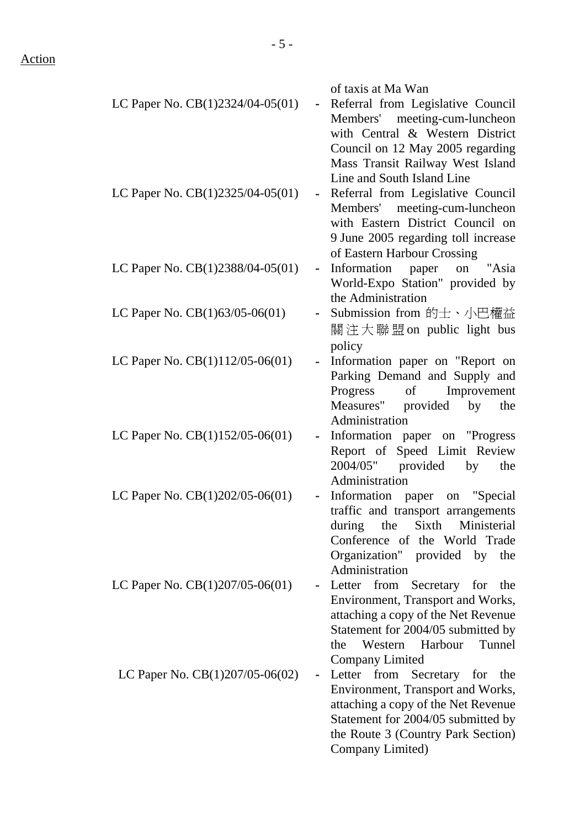| LC Paper No. $CB(1)2324/04-05(01)$ | of taxis at Ma Wan<br>Referral from Legislative Council<br>$\blacksquare$<br>Members' meeting-cum-luncheon<br>with Central & Western District<br>Council on 12 May 2005 regarding<br>Mass Transit Railway West Island |
|------------------------------------|-----------------------------------------------------------------------------------------------------------------------------------------------------------------------------------------------------------------------|
| LC Paper No. $CB(1)2325/04-05(01)$ | Line and South Island Line<br>Referral from Legislative Council<br>Members' meeting-cum-luncheon<br>with Eastern District Council on<br>9 June 2005 regarding toll increase<br>of Eastern Harbour Crossing            |
| LC Paper No. CB(1)2388/04-05(01)   | Information paper on "Asia<br>$\blacksquare$<br>World-Expo Station" provided by<br>the Administration                                                                                                                 |
| LC Paper No. $CB(1)63/05-06(01)$   | Submission from 的士、小巴權益<br>關注大聯盟on public light bus                                                                                                                                                                   |
| LC Paper No. CB(1)112/05-06(01)    | policy<br>Information paper on "Report on<br>$\qquad \qquad \blacksquare$<br>Parking Demand and Supply and<br>Improvement<br>Progress<br>of<br>Measures" provided by the<br>Administration                            |
| LC Paper No. CB(1)152/05-06(01)    | Information paper on "Progress"<br>Report of Speed Limit Review<br>$2004/05"$ provided<br>by<br>the<br>Administration                                                                                                 |
| LC Paper No. CB(1)202/05-06(01)    | Information paper on "Special"<br>traffic and transport arrangements<br>Sixth Ministerial<br>during<br>the<br>Conference of the World Trade<br>Organization" provided by<br>the<br>Administration                     |
| LC Paper No. $CB(1)207/05-06(01)$  | Letter from Secretary for the<br>Environment, Transport and Works,<br>attaching a copy of the Net Revenue<br>Statement for 2004/05 submitted by<br>Western Harbour<br>Tunnel<br>the<br><b>Company Limited</b>         |
| LC Paper No. $CB(1)207/05-06(02)$  | Letter<br>from<br>Secretary for<br>the<br>Environment, Transport and Works,<br>attaching a copy of the Net Revenue<br>Statement for 2004/05 submitted by<br>the Route 3 (Country Park Section)<br>Company Limited)    |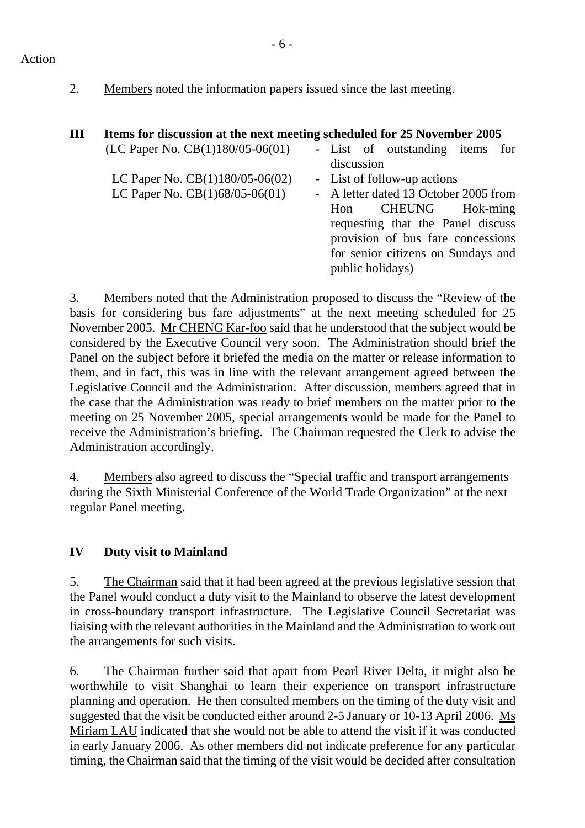#### Action

2. Members noted the information papers issued since the last meeting.

| Ш | Items for discussion at the next meeting scheduled for 25 November 2005 |            |                                                                                                                                  |     |
|---|-------------------------------------------------------------------------|------------|----------------------------------------------------------------------------------------------------------------------------------|-----|
|   | (LC Paper No. $CB(1)180/05-06(01)$ )                                    | discussion | - List of outstanding items                                                                                                      | for |
|   | LC Paper No. $CB(1)180/05-06(02)$<br>LC Paper No. CB(1)68/05-06(01)     | Hon        | - List of follow-up actions<br>- A letter dated 13 October 2005 from<br>CHEUNG Hok-ming                                          |     |
|   |                                                                         |            | requesting that the Panel discuss<br>provision of bus fare concessions<br>for senior citizens on Sundays and<br>public holidays) |     |

3. Members noted that the Administration proposed to discuss the "Review of the basis for considering bus fare adjustments" at the next meeting scheduled for 25 November 2005. Mr CHENG Kar-foo said that he understood that the subject would be considered by the Executive Council very soon. The Administration should brief the Panel on the subject before it briefed the media on the matter or release information to them, and in fact, this was in line with the relevant arrangement agreed between the Legislative Council and the Administration. After discussion, members agreed that in the case that the Administration was ready to brief members on the matter prior to the meeting on 25 November 2005, special arrangements would be made for the Panel to receive the Administration's briefing. The Chairman requested the Clerk to advise the Administration accordingly.

4. Members also agreed to discuss the "Special traffic and transport arrangements during the Sixth Ministerial Conference of the World Trade Organization" at the next regular Panel meeting.

## **IV Duty visit to Mainland**

5. The Chairman said that it had been agreed at the previous legislative session that the Panel would conduct a duty visit to the Mainland to observe the latest development in cross-boundary transport infrastructure. The Legislative Council Secretariat was liaising with the relevant authorities in the Mainland and the Administration to work out the arrangements for such visits.

6. The Chairman further said that apart from Pearl River Delta, it might also be worthwhile to visit Shanghai to learn their experience on transport infrastructure planning and operation. He then consulted members on the timing of the duty visit and suggested that the visit be conducted either around 2-5 January or 10-13 April 2006. Ms Miriam LAU indicated that she would not be able to attend the visit if it was conducted in early January 2006. As other members did not indicate preference for any particular timing, the Chairman said that the timing of the visit would be decided after consultation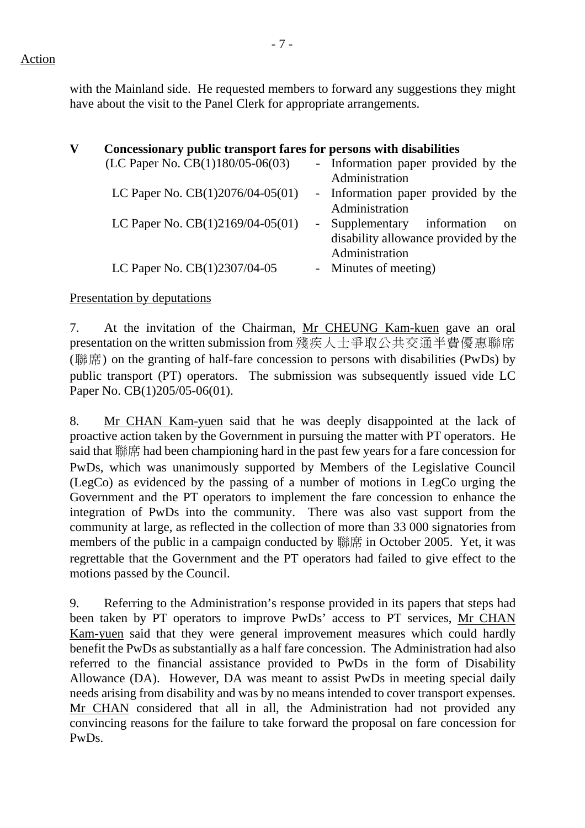with the Mainland side. He requested members to forward any suggestions they might have about the visit to the Panel Clerk for appropriate arrangements.

| V | Concessionary public transport fares for persons with disabilities |                                              |
|---|--------------------------------------------------------------------|----------------------------------------------|
|   | (LC Paper No. $CB(1)180/05-06(03)$ )                               | - Information paper provided by the          |
|   |                                                                    | Administration                               |
|   | LC Paper No. CB(1)2076/04-05(01)                                   | - Information paper provided by the          |
|   |                                                                    | Administration                               |
|   | LC Paper No. $CB(1)2169/04-05(01)$                                 | - Supplementary information<br><sub>on</sub> |
|   |                                                                    | disability allowance provided by the         |
|   |                                                                    | Administration                               |
|   | LC Paper No. CB(1)2307/04-05                                       | - Minutes of meeting)                        |

Presentation by deputations

7.. At the invitation of the Chairman, Mr CHEUNG Kam-kuen gave an oral presentation on the written submission from 殘疾人士爭取公共交通半費優惠聯席 (聯席) on the granting of half-fare concession to persons with disabilities (PwDs) by public transport (PT) operators. The submission was subsequently issued vide LC Paper No. CB(1)205/05-06(01).

8. Mr CHAN Kam-yuen said that he was deeply disappointed at the lack of proactive action taken by the Government in pursuing the matter with PT operators. He said that 聯席 had been championing hard in the past few years for a fare concession for PwDs, which was unanimously supported by Members of the Legislative Council (LegCo) as evidenced by the passing of a number of motions in LegCo urging the Government and the PT operators to implement the fare concession to enhance the integration of PwDs into the community. There was also vast support from the community at large, as reflected in the collection of more than 33 000 signatories from members of the public in a campaign conducted by 聯席 in October 2005. Yet, it was regrettable that the Government and the PT operators had failed to give effect to the motions passed by the Council.

9. Referring to the Administration's response provided in its papers that steps had been taken by PT operators to improve PwDs' access to PT services, Mr CHAN Kam-yuen said that they were general improvement measures which could hardly benefit the PwDs as substantially as a half fare concession. The Administration had also referred to the financial assistance provided to PwDs in the form of Disability Allowance (DA). However, DA was meant to assist PwDs in meeting special daily needs arising from disability and was by no means intended to cover transport expenses. Mr CHAN considered that all in all, the Administration had not provided any convincing reasons for the failure to take forward the proposal on fare concession for PwDs.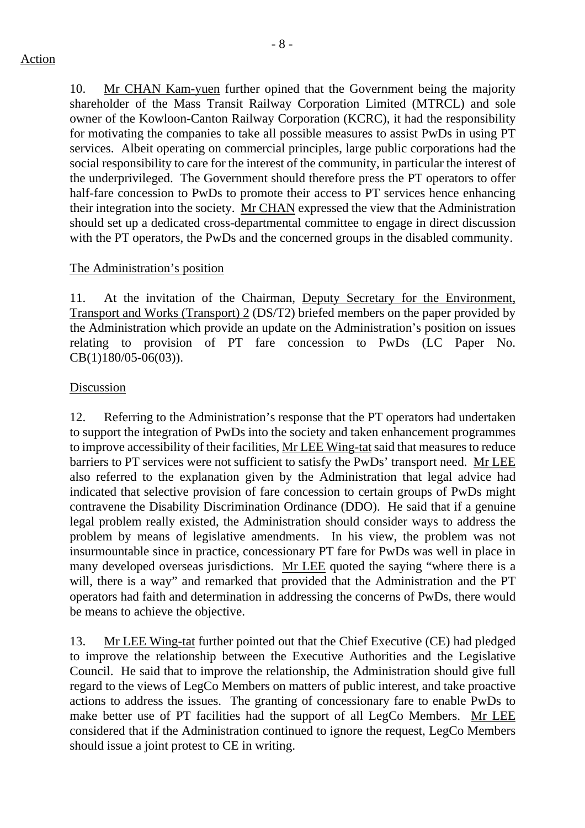- 8 -

10. Mr CHAN Kam-yuen further opined that the Government being the majority shareholder of the Mass Transit Railway Corporation Limited (MTRCL) and sole owner of the Kowloon-Canton Railway Corporation (KCRC), it had the responsibility for motivating the companies to take all possible measures to assist PwDs in using PT services. Albeit operating on commercial principles, large public corporations had the social responsibility to care for the interest of the community, in particular the interest of the underprivileged. The Government should therefore press the PT operators to offer half-fare concession to PwDs to promote their access to PT services hence enhancing their integration into the society. Mr CHAN expressed the view that the Administration should set up a dedicated cross-departmental committee to engage in direct discussion with the PT operators, the PwDs and the concerned groups in the disabled community.

## The Administration's position

11. At the invitation of the Chairman, Deputy Secretary for the Environment, Transport and Works (Transport) 2 (DS/T2) briefed members on the paper provided by the Administration which provide an update on the Administration's position on issues relating to provision of PT fare concession to PwDs (LC Paper No. CB(1)180/05-06(03)).

## Discussion

12. Referring to the Administration's response that the PT operators had undertaken to support the integration of PwDs into the society and taken enhancement programmes to improve accessibility of their facilities, Mr LEE Wing-tat said that measures to reduce barriers to PT services were not sufficient to satisfy the PwDs' transport need. Mr LEE also referred to the explanation given by the Administration that legal advice had indicated that selective provision of fare concession to certain groups of PwDs might contravene the Disability Discrimination Ordinance (DDO). He said that if a genuine legal problem really existed, the Administration should consider ways to address the problem by means of legislative amendments. In his view, the problem was not insurmountable since in practice, concessionary PT fare for PwDs was well in place in many developed overseas jurisdictions. Mr LEE quoted the saying "where there is a will, there is a way" and remarked that provided that the Administration and the PT operators had faith and determination in addressing the concerns of PwDs, there would be means to achieve the objective.

13. Mr LEE Wing-tat further pointed out that the Chief Executive (CE) had pledged to improve the relationship between the Executive Authorities and the Legislative Council. He said that to improve the relationship, the Administration should give full regard to the views of LegCo Members on matters of public interest, and take proactive actions to address the issues. The granting of concessionary fare to enable PwDs to make better use of PT facilities had the support of all LegCo Members. Mr LEE considered that if the Administration continued to ignore the request, LegCo Members should issue a joint protest to CE in writing.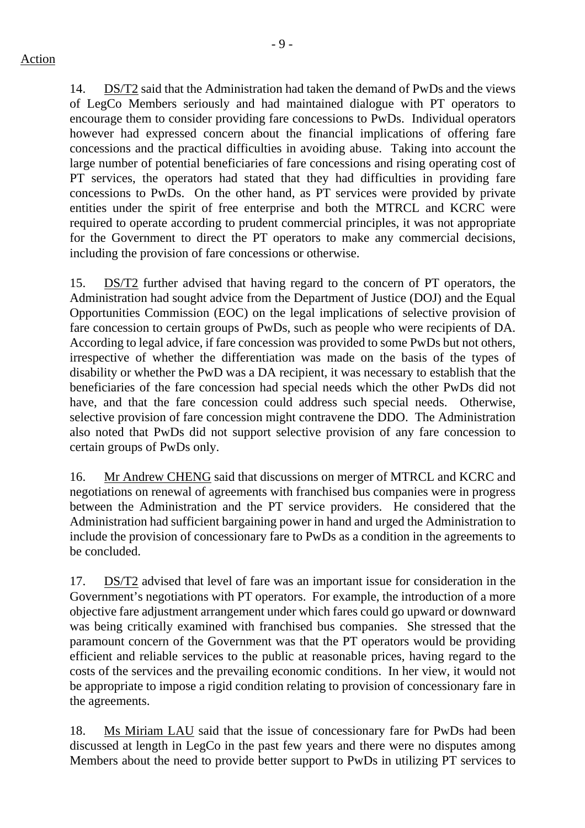14. DS/T2 said that the Administration had taken the demand of PwDs and the views of LegCo Members seriously and had maintained dialogue with PT operators to encourage them to consider providing fare concessions to PwDs. Individual operators however had expressed concern about the financial implications of offering fare concessions and the practical difficulties in avoiding abuse. Taking into account the large number of potential beneficiaries of fare concessions and rising operating cost of PT services, the operators had stated that they had difficulties in providing fare concessions to PwDs. On the other hand, as PT services were provided by private entities under the spirit of free enterprise and both the MTRCL and KCRC were required to operate according to prudent commercial principles, it was not appropriate for the Government to direct the PT operators to make any commercial decisions, including the provision of fare concessions or otherwise.

15. DS/T2 further advised that having regard to the concern of PT operators, the Administration had sought advice from the Department of Justice (DOJ) and the Equal Opportunities Commission (EOC) on the legal implications of selective provision of fare concession to certain groups of PwDs, such as people who were recipients of DA. According to legal advice, if fare concession was provided to some PwDs but not others, irrespective of whether the differentiation was made on the basis of the types of disability or whether the PwD was a DA recipient, it was necessary to establish that the beneficiaries of the fare concession had special needs which the other PwDs did not have, and that the fare concession could address such special needs. Otherwise, selective provision of fare concession might contravene the DDO. The Administration also noted that PwDs did not support selective provision of any fare concession to certain groups of PwDs only.

16. Mr Andrew CHENG said that discussions on merger of MTRCL and KCRC and negotiations on renewal of agreements with franchised bus companies were in progress between the Administration and the PT service providers. He considered that the Administration had sufficient bargaining power in hand and urged the Administration to include the provision of concessionary fare to PwDs as a condition in the agreements to be concluded.

17. DS/T2 advised that level of fare was an important issue for consideration in the Government's negotiations with PT operators. For example, the introduction of a more objective fare adjustment arrangement under which fares could go upward or downward was being critically examined with franchised bus companies. She stressed that the paramount concern of the Government was that the PT operators would be providing efficient and reliable services to the public at reasonable prices, having regard to the costs of the services and the prevailing economic conditions. In her view, it would not be appropriate to impose a rigid condition relating to provision of concessionary fare in the agreements.

18. Ms Miriam LAU said that the issue of concessionary fare for PwDs had been discussed at length in LegCo in the past few years and there were no disputes among Members about the need to provide better support to PwDs in utilizing PT services to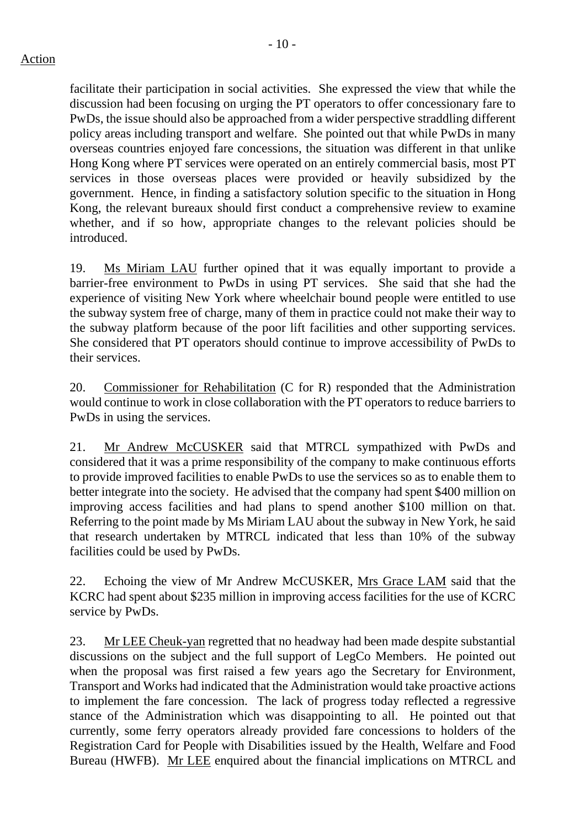facilitate their participation in social activities. She expressed the view that while the discussion had been focusing on urging the PT operators to offer concessionary fare to PwDs, the issue should also be approached from a wider perspective straddling different policy areas including transport and welfare. She pointed out that while PwDs in many overseas countries enjoyed fare concessions, the situation was different in that unlike Hong Kong where PT services were operated on an entirely commercial basis, most PT services in those overseas places were provided or heavily subsidized by the government. Hence, in finding a satisfactory solution specific to the situation in Hong Kong, the relevant bureaux should first conduct a comprehensive review to examine whether, and if so how, appropriate changes to the relevant policies should be introduced.

19. Ms Miriam LAU further opined that it was equally important to provide a barrier-free environment to PwDs in using PT services. She said that she had the experience of visiting New York where wheelchair bound people were entitled to use the subway system free of charge, many of them in practice could not make their way to the subway platform because of the poor lift facilities and other supporting services. She considered that PT operators should continue to improve accessibility of PwDs to their services.

20. Commissioner for Rehabilitation (C for R) responded that the Administration would continue to work in close collaboration with the PT operators to reduce barriers to PwDs in using the services.

21. Mr Andrew McCUSKER said that MTRCL sympathized with PwDs and considered that it was a prime responsibility of the company to make continuous efforts to provide improved facilities to enable PwDs to use the services so as to enable them to better integrate into the society. He advised that the company had spent \$400 million on improving access facilities and had plans to spend another \$100 million on that. Referring to the point made by Ms Miriam LAU about the subway in New York, he said that research undertaken by MTRCL indicated that less than 10% of the subway facilities could be used by PwDs.

22. Echoing the view of Mr Andrew McCUSKER, Mrs Grace LAM said that the KCRC had spent about \$235 million in improving access facilities for the use of KCRC service by PwDs.

23. Mr LEE Cheuk-yan regretted that no headway had been made despite substantial discussions on the subject and the full support of LegCo Members. He pointed out when the proposal was first raised a few years ago the Secretary for Environment, Transport and Works had indicated that the Administration would take proactive actions to implement the fare concession. The lack of progress today reflected a regressive stance of the Administration which was disappointing to all. He pointed out that currently, some ferry operators already provided fare concessions to holders of the Registration Card for People with Disabilities issued by the Health, Welfare and Food Bureau (HWFB). Mr LEE enquired about the financial implications on MTRCL and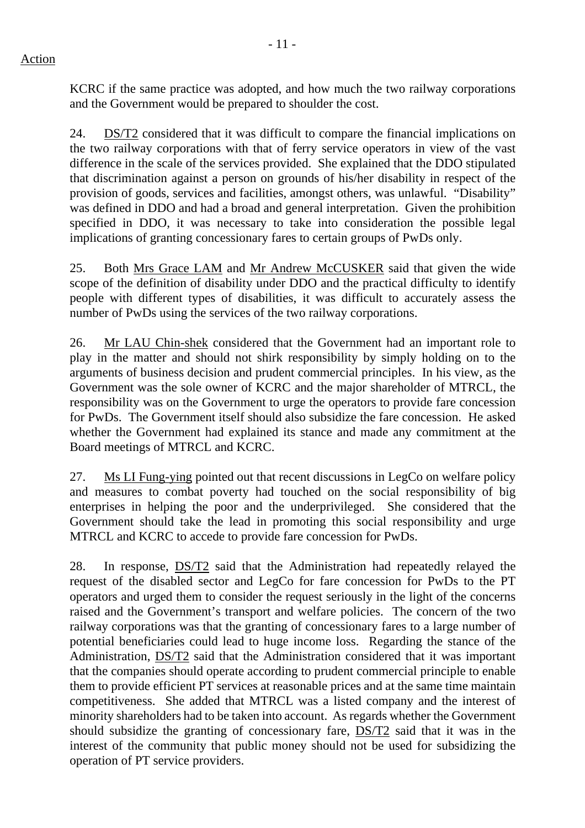KCRC if the same practice was adopted, and how much the two railway corporations and the Government would be prepared to shoulder the cost.

24. DS/T2 considered that it was difficult to compare the financial implications on the two railway corporations with that of ferry service operators in view of the vast difference in the scale of the services provided. She explained that the DDO stipulated that discrimination against a person on grounds of his/her disability in respect of the provision of goods, services and facilities, amongst others, was unlawful. "Disability" was defined in DDO and had a broad and general interpretation. Given the prohibition specified in DDO, it was necessary to take into consideration the possible legal implications of granting concessionary fares to certain groups of PwDs only.

25. Both Mrs Grace LAM and Mr Andrew McCUSKER said that given the wide scope of the definition of disability under DDO and the practical difficulty to identify people with different types of disabilities, it was difficult to accurately assess the number of PwDs using the services of the two railway corporations.

26. Mr LAU Chin-shek considered that the Government had an important role to play in the matter and should not shirk responsibility by simply holding on to the arguments of business decision and prudent commercial principles. In his view, as the Government was the sole owner of KCRC and the major shareholder of MTRCL, the responsibility was on the Government to urge the operators to provide fare concession for PwDs. The Government itself should also subsidize the fare concession. He asked whether the Government had explained its stance and made any commitment at the Board meetings of MTRCL and KCRC.

27. Ms LI Fung-ying pointed out that recent discussions in LegCo on welfare policy and measures to combat poverty had touched on the social responsibility of big enterprises in helping the poor and the underprivileged. She considered that the Government should take the lead in promoting this social responsibility and urge MTRCL and KCRC to accede to provide fare concession for PwDs.

28. In response, DS/T2 said that the Administration had repeatedly relayed the request of the disabled sector and LegCo for fare concession for PwDs to the PT operators and urged them to consider the request seriously in the light of the concerns raised and the Government's transport and welfare policies. The concern of the two railway corporations was that the granting of concessionary fares to a large number of potential beneficiaries could lead to huge income loss. Regarding the stance of the Administration, DS/T2 said that the Administration considered that it was important that the companies should operate according to prudent commercial principle to enable them to provide efficient PT services at reasonable prices and at the same time maintain competitiveness. She added that MTRCL was a listed company and the interest of minority shareholders had to be taken into account. As regards whether the Government should subsidize the granting of concessionary fare, DS/T2 said that it was in the interest of the community that public money should not be used for subsidizing the operation of PT service providers.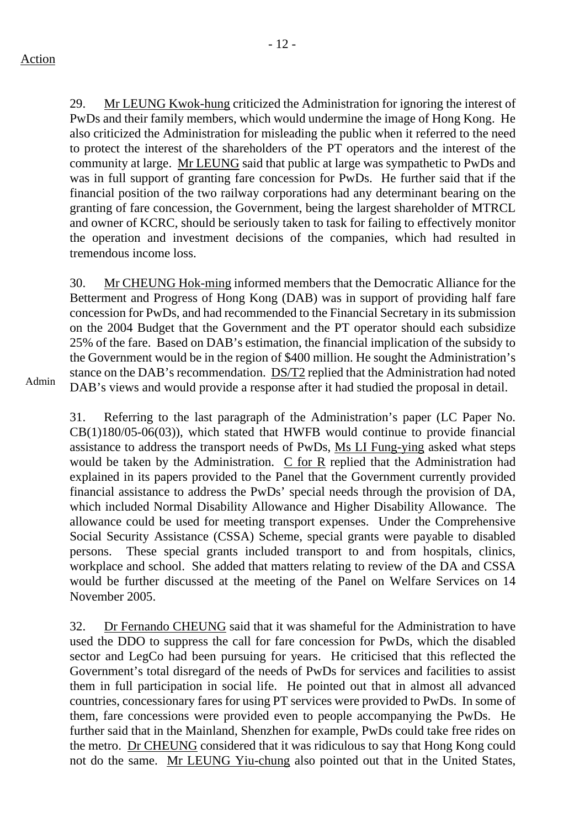29. Mr LEUNG Kwok-hung criticized the Administration for ignoring the interest of PwDs and their family members, which would undermine the image of Hong Kong. He also criticized the Administration for misleading the public when it referred to the need to protect the interest of the shareholders of the PT operators and the interest of the community at large. Mr LEUNG said that public at large was sympathetic to PwDs and was in full support of granting fare concession for PwDs. He further said that if the financial position of the two railway corporations had any determinant bearing on the granting of fare concession, the Government, being the largest shareholder of MTRCL and owner of KCRC, should be seriously taken to task for failing to effectively monitor the operation and investment decisions of the companies, which had resulted in tremendous income loss.

30. Mr CHEUNG Hok-ming informed members that the Democratic Alliance for the Betterment and Progress of Hong Kong (DAB) was in support of providing half fare concession for PwDs, and had recommended to the Financial Secretary in its submission on the 2004 Budget that the Government and the PT operator should each subsidize 25% of the fare. Based on DAB's estimation, the financial implication of the subsidy to the Government would be in the region of \$400 million. He sought the Administration's stance on the DAB's recommendation. DS/T2 replied that the Administration had noted DAB's views and would provide a response after it had studied the proposal in detail.

Admin

31. Referring to the last paragraph of the Administration's paper (LC Paper No. CB(1)180/05-06(03)), which stated that HWFB would continue to provide financial assistance to address the transport needs of PwDs, Ms LI Fung-ying asked what steps would be taken by the Administration. C for R replied that the Administration had explained in its papers provided to the Panel that the Government currently provided financial assistance to address the PwDs' special needs through the provision of DA, which included Normal Disability Allowance and Higher Disability Allowance. The allowance could be used for meeting transport expenses. Under the Comprehensive Social Security Assistance (CSSA) Scheme, special grants were payable to disabled persons. These special grants included transport to and from hospitals, clinics, workplace and school. She added that matters relating to review of the DA and CSSA would be further discussed at the meeting of the Panel on Welfare Services on 14 November 2005.

32. Dr Fernando CHEUNG said that it was shameful for the Administration to have used the DDO to suppress the call for fare concession for PwDs, which the disabled sector and LegCo had been pursuing for years. He criticised that this reflected the Government's total disregard of the needs of PwDs for services and facilities to assist them in full participation in social life. He pointed out that in almost all advanced countries, concessionary fares for using PT services were provided to PwDs. In some of them, fare concessions were provided even to people accompanying the PwDs. He further said that in the Mainland, Shenzhen for example, PwDs could take free rides on the metro. Dr CHEUNG considered that it was ridiculous to say that Hong Kong could not do the same. Mr LEUNG Yiu-chung also pointed out that in the United States,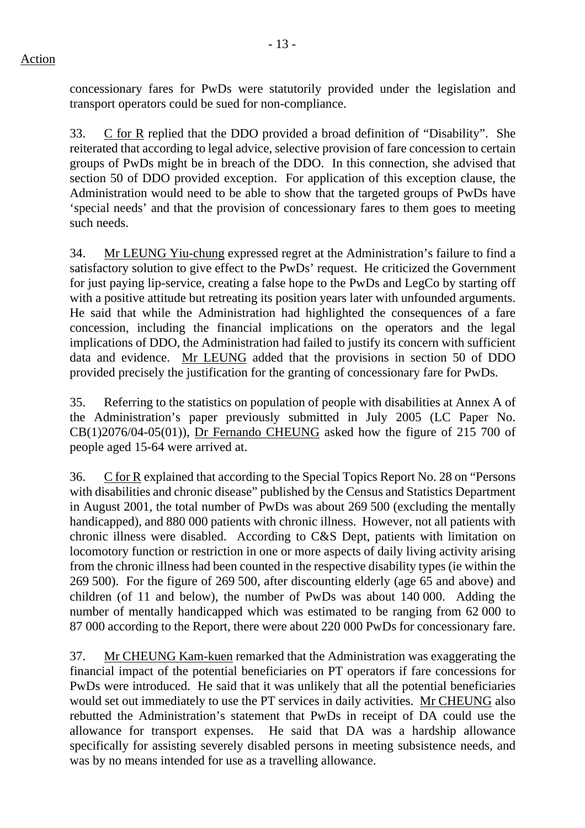concessionary fares for PwDs were statutorily provided under the legislation and transport operators could be sued for non-compliance.

33. C for R replied that the DDO provided a broad definition of "Disability". She reiterated that according to legal advice, selective provision of fare concession to certain groups of PwDs might be in breach of the DDO. In this connection, she advised that section 50 of DDO provided exception. For application of this exception clause, the Administration would need to be able to show that the targeted groups of PwDs have 'special needs' and that the provision of concessionary fares to them goes to meeting such needs.

34. Mr LEUNG Yiu-chung expressed regret at the Administration's failure to find a satisfactory solution to give effect to the PwDs' request. He criticized the Government for just paying lip-service, creating a false hope to the PwDs and LegCo by starting off with a positive attitude but retreating its position years later with unfounded arguments. He said that while the Administration had highlighted the consequences of a fare concession, including the financial implications on the operators and the legal implications of DDO, the Administration had failed to justify its concern with sufficient data and evidence. Mr LEUNG added that the provisions in section 50 of DDO provided precisely the justification for the granting of concessionary fare for PwDs.

35. Referring to the statistics on population of people with disabilities at Annex A of the Administration's paper previously submitted in July 2005 (LC Paper No. CB(1)2076/04-05(01)), Dr Fernando CHEUNG asked how the figure of 215 700 of people aged 15-64 were arrived at.

36. C for R explained that according to the Special Topics Report No. 28 on "Persons with disabilities and chronic disease" published by the Census and Statistics Department in August 2001, the total number of PwDs was about 269 500 (excluding the mentally handicapped), and 880 000 patients with chronic illness. However, not all patients with chronic illness were disabled. According to C&S Dept, patients with limitation on locomotory function or restriction in one or more aspects of daily living activity arising from the chronic illness had been counted in the respective disability types (ie within the 269 500). For the figure of 269 500, after discounting elderly (age 65 and above) and children (of 11 and below), the number of PwDs was about 140 000. Adding the number of mentally handicapped which was estimated to be ranging from 62 000 to 87 000 according to the Report, there were about 220 000 PwDs for concessionary fare.

37. Mr CHEUNG Kam-kuen remarked that the Administration was exaggerating the financial impact of the potential beneficiaries on PT operators if fare concessions for PwDs were introduced. He said that it was unlikely that all the potential beneficiaries would set out immediately to use the PT services in daily activities. Mr CHEUNG also rebutted the Administration's statement that PwDs in receipt of DA could use the allowance for transport expenses. He said that DA was a hardship allowance specifically for assisting severely disabled persons in meeting subsistence needs, and was by no means intended for use as a travelling allowance.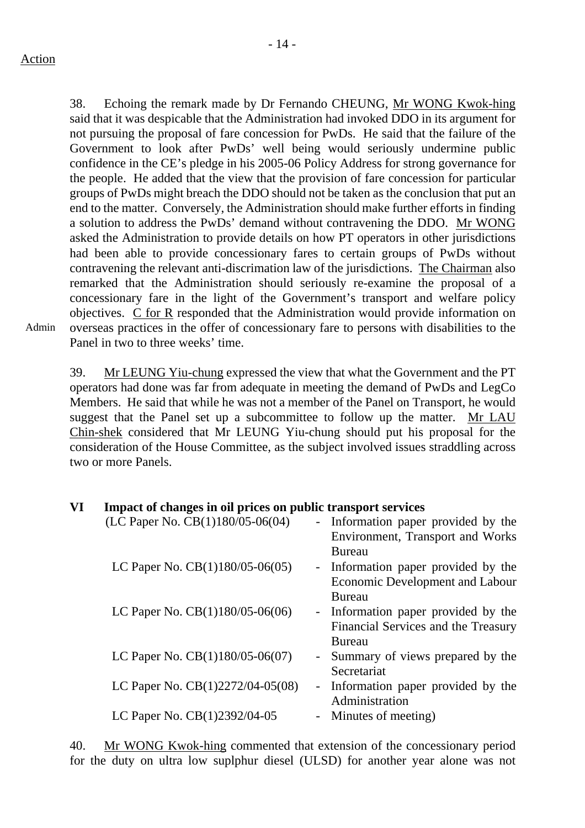38. Echoing the remark made by Dr Fernando CHEUNG, Mr WONG Kwok-hing said that it was despicable that the Administration had invoked DDO in its argument for not pursuing the proposal of fare concession for PwDs. He said that the failure of the Government to look after PwDs' well being would seriously undermine public confidence in the CE's pledge in his 2005-06 Policy Address for strong governance for the people. He added that the view that the provision of fare concession for particular groups of PwDs might breach the DDO should not be taken as the conclusion that put an end to the matter. Conversely, the Administration should make further efforts in finding a solution to address the PwDs' demand without contravening the DDO. Mr WONG asked the Administration to provide details on how PT operators in other jurisdictions had been able to provide concessionary fares to certain groups of PwDs without contravening the relevant anti-discrimation law of the jurisdictions. The Chairman also remarked that the Administration should seriously re-examine the proposal of a concessionary fare in the light of the Government's transport and welfare policy objectives. C for R responded that the Administration would provide information on overseas practices in the offer of concessionary fare to persons with disabilities to the Panel in two to three weeks' time.

Admin

39. Mr LEUNG Yiu-chung expressed the view that what the Government and the PT operators had done was far from adequate in meeting the demand of PwDs and LegCo Members. He said that while he was not a member of the Panel on Transport, he would suggest that the Panel set up a subcommittee to follow up the matter. Mr LAU Chin-shek considered that Mr LEUNG Yiu-chung should put his proposal for the consideration of the House Committee, as the subject involved issues straddling across two or more Panels.

#### **VI Impact of changes in oil prices on public transport services**

| (LC Paper No. CB(1)180/05-06(04)   | - Information paper provided by the<br>Environment, Transport and Works<br><b>Bureau</b> |
|------------------------------------|------------------------------------------------------------------------------------------|
| LC Paper No. $CB(1)180/05-06(05)$  | - Information paper provided by the<br><b>Economic Development and Labour</b>            |
| LC Paper No. CB(1)180/05-06(06)    | Bureau<br>- Information paper provided by the<br>Financial Services and the Treasury     |
| LC Paper No. CB(1)180/05-06(07)    | Bureau<br>- Summary of views prepared by the<br>Secretariat                              |
| LC Paper No. $CB(1)2272/04-05(08)$ | - Information paper provided by the<br>Administration                                    |
| LC Paper No. CB(1)2392/04-05       | - Minutes of meeting)                                                                    |

40. Mr WONG Kwok-hing commented that extension of the concessionary period for the duty on ultra low suplphur diesel (ULSD) for another year alone was not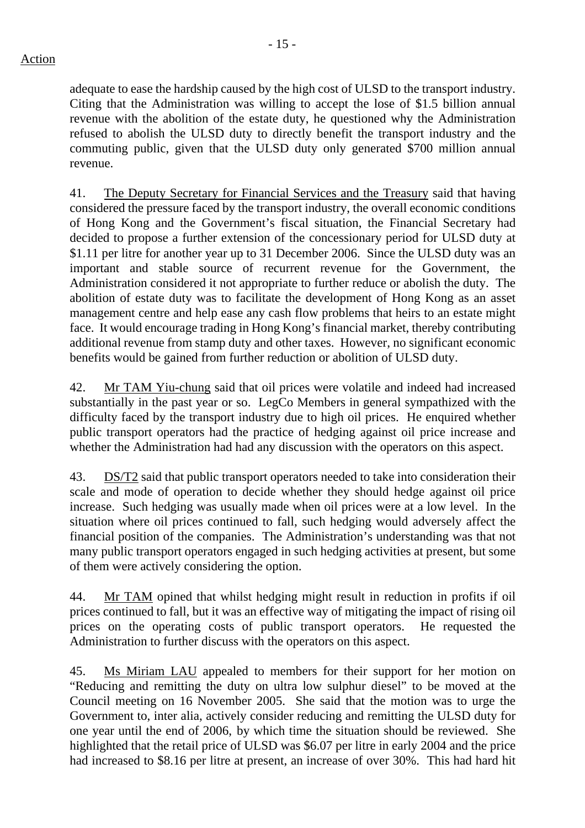adequate to ease the hardship caused by the high cost of ULSD to the transport industry. Citing that the Administration was willing to accept the lose of \$1.5 billion annual revenue with the abolition of the estate duty, he questioned why the Administration refused to abolish the ULSD duty to directly benefit the transport industry and the commuting public, given that the ULSD duty only generated \$700 million annual revenue.

41. The Deputy Secretary for Financial Services and the Treasury said that having considered the pressure faced by the transport industry, the overall economic conditions of Hong Kong and the Government's fiscal situation, the Financial Secretary had decided to propose a further extension of the concessionary period for ULSD duty at \$1.11 per litre for another year up to 31 December 2006. Since the ULSD duty was an important and stable source of recurrent revenue for the Government, the Administration considered it not appropriate to further reduce or abolish the duty. The abolition of estate duty was to facilitate the development of Hong Kong as an asset management centre and help ease any cash flow problems that heirs to an estate might face. It would encourage trading in Hong Kong's financial market, thereby contributing additional revenue from stamp duty and other taxes. However, no significant economic benefits would be gained from further reduction or abolition of ULSD duty.

42. Mr TAM Yiu-chung said that oil prices were volatile and indeed had increased substantially in the past year or so. LegCo Members in general sympathized with the difficulty faced by the transport industry due to high oil prices. He enquired whether public transport operators had the practice of hedging against oil price increase and whether the Administration had had any discussion with the operators on this aspect.

43. DS/T2 said that public transport operators needed to take into consideration their scale and mode of operation to decide whether they should hedge against oil price increase. Such hedging was usually made when oil prices were at a low level. In the situation where oil prices continued to fall, such hedging would adversely affect the financial position of the companies. The Administration's understanding was that not many public transport operators engaged in such hedging activities at present, but some of them were actively considering the option.

44. Mr TAM opined that whilst hedging might result in reduction in profits if oil prices continued to fall, but it was an effective way of mitigating the impact of rising oil prices on the operating costs of public transport operators. He requested the Administration to further discuss with the operators on this aspect.

45. Ms Miriam LAU appealed to members for their support for her motion on "Reducing and remitting the duty on ultra low sulphur diesel" to be moved at the Council meeting on 16 November 2005. She said that the motion was to urge the Government to, inter alia, actively consider reducing and remitting the ULSD duty for one year until the end of 2006, by which time the situation should be reviewed. She highlighted that the retail price of ULSD was \$6.07 per litre in early 2004 and the price had increased to \$8.16 per litre at present, an increase of over 30%. This had hard hit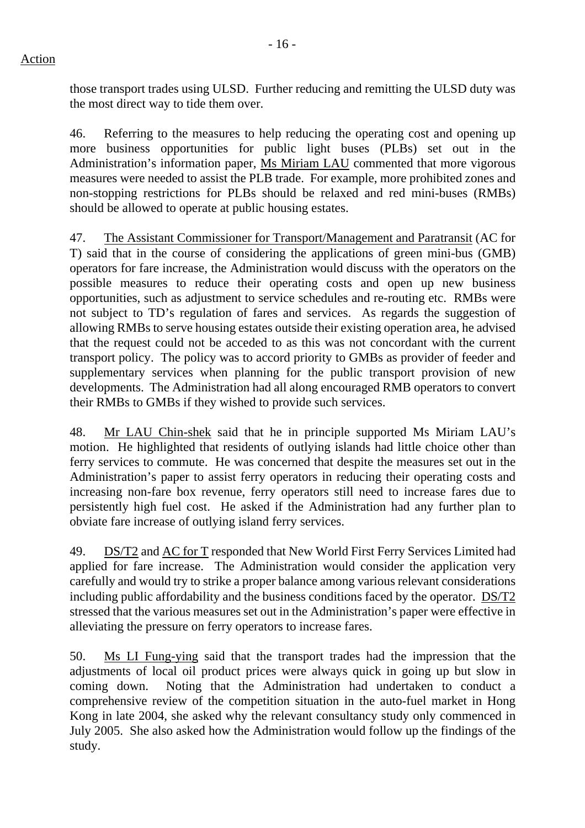those transport trades using ULSD. Further reducing and remitting the ULSD duty was the most direct way to tide them over.

46. Referring to the measures to help reducing the operating cost and opening up more business opportunities for public light buses (PLBs) set out in the Administration's information paper, Ms Miriam LAU commented that more vigorous measures were needed to assist the PLB trade. For example, more prohibited zones and non-stopping restrictions for PLBs should be relaxed and red mini-buses (RMBs) should be allowed to operate at public housing estates.

47. The Assistant Commissioner for Transport/Management and Paratransit (AC for T) said that in the course of considering the applications of green mini-bus (GMB) operators for fare increase, the Administration would discuss with the operators on the possible measures to reduce their operating costs and open up new business opportunities, such as adjustment to service schedules and re-routing etc. RMBs were not subject to TD's regulation of fares and services. As regards the suggestion of allowing RMBs to serve housing estates outside their existing operation area, he advised that the request could not be acceded to as this was not concordant with the current transport policy. The policy was to accord priority to GMBs as provider of feeder and supplementary services when planning for the public transport provision of new developments. The Administration had all along encouraged RMB operators to convert their RMBs to GMBs if they wished to provide such services.

48. Mr LAU Chin-shek said that he in principle supported Ms Miriam LAU's motion. He highlighted that residents of outlying islands had little choice other than ferry services to commute. He was concerned that despite the measures set out in the Administration's paper to assist ferry operators in reducing their operating costs and increasing non-fare box revenue, ferry operators still need to increase fares due to persistently high fuel cost. He asked if the Administration had any further plan to obviate fare increase of outlying island ferry services.

49. DS/T2 and AC for T responded that New World First Ferry Services Limited had applied for fare increase. The Administration would consider the application very carefully and would try to strike a proper balance among various relevant considerations including public affordability and the business conditions faced by the operator. DS/T2 stressed that the various measures set out in the Administration's paper were effective in alleviating the pressure on ferry operators to increase fares.

50. Ms LI Fung-ying said that the transport trades had the impression that the adjustments of local oil product prices were always quick in going up but slow in coming down. Noting that the Administration had undertaken to conduct a comprehensive review of the competition situation in the auto-fuel market in Hong Kong in late 2004, she asked why the relevant consultancy study only commenced in July 2005. She also asked how the Administration would follow up the findings of the study.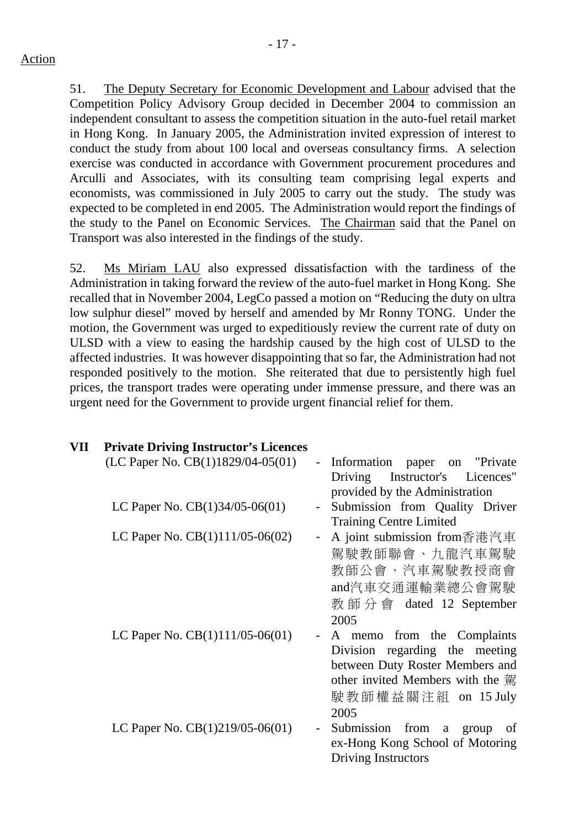51. The Deputy Secretary for Economic Development and Labour advised that the Competition Policy Advisory Group decided in December 2004 to commission an independent consultant to assess the competition situation in the auto-fuel retail market in Hong Kong. In January 2005, the Administration invited expression of interest to conduct the study from about 100 local and overseas consultancy firms. A selection exercise was conducted in accordance with Government procurement procedures and Arculli and Associates, with its consulting team comprising legal experts and economists, was commissioned in July 2005 to carry out the study. The study was expected to be completed in end 2005. The Administration would report the findings of the study to the Panel on Economic Services. The Chairman said that the Panel on Transport was also interested in the findings of the study.

52. Ms Miriam LAU also expressed dissatisfaction with the tardiness of the Administration in taking forward the review of the auto-fuel market in Hong Kong. She recalled that in November 2004, LegCo passed a motion on "Reducing the duty on ultra low sulphur diesel" moved by herself and amended by Mr Ronny TONG. Under the motion, the Government was urged to expeditiously review the current rate of duty on ULSD with a view to easing the hardship caused by the high cost of ULSD to the affected industries. It was however disappointing that so far, the Administration had not responded positively to the motion. She reiterated that due to persistently high fuel prices, the transport trades were operating under immense pressure, and there was an urgent need for the Government to provide urgent financial relief for them.

# **VII Private Driving Instructor's Licences**

| Information paper on "Private"                                   |
|------------------------------------------------------------------|
| Instructor's Licences"<br>Driving                                |
| provided by the Administration                                   |
| Submission from Quality Driver<br>$\blacksquare$                 |
| <b>Training Centre Limited</b>                                   |
| A joint submission from香港汽車                                      |
| 駕駛教師聯會、九龍汽車駕駛                                                    |
| 教師公會、汽車駕駛教授商會                                                    |
| and汽車交通運輸業總公會駕駛                                                  |
| 教 師 分 會 dated 12 September                                       |
| 2005                                                             |
| A memo from the Complaints                                       |
| Division regarding the meeting                                   |
| between Duty Roster Members and                                  |
| other invited Members with the 駕                                 |
| 駛教師權益關注組 on 15 July                                              |
| 2005                                                             |
| Submission<br>from<br>a group<br><sub>of</sub><br>$\blacksquare$ |
| ex-Hong Kong School of Motoring                                  |
| Driving Instructors                                              |
|                                                                  |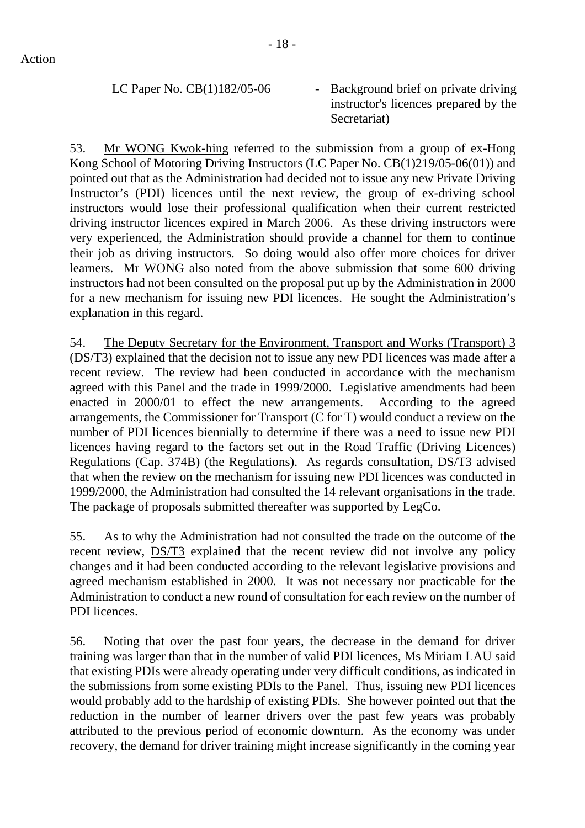LC Paper No.  $CB(1)182/05-06$  - Background brief on private driving instructor's licences prepared by the Secretariat)

53. Mr WONG Kwok-hing referred to the submission from a group of ex-Hong Kong School of Motoring Driving Instructors (LC Paper No. CB(1)219/05-06(01)) and pointed out that as the Administration had decided not to issue any new Private Driving Instructor's (PDI) licences until the next review, the group of ex-driving school instructors would lose their professional qualification when their current restricted driving instructor licences expired in March 2006. As these driving instructors were very experienced, the Administration should provide a channel for them to continue their job as driving instructors. So doing would also offer more choices for driver learners. Mr WONG also noted from the above submission that some 600 driving instructors had not been consulted on the proposal put up by the Administration in 2000 for a new mechanism for issuing new PDI licences. He sought the Administration's explanation in this regard.

54. The Deputy Secretary for the Environment, Transport and Works (Transport) 3 (DS/T3) explained that the decision not to issue any new PDI licences was made after a recent review. The review had been conducted in accordance with the mechanism agreed with this Panel and the trade in 1999/2000. Legislative amendments had been enacted in 2000/01 to effect the new arrangements. According to the agreed arrangements, the Commissioner for Transport (C for T) would conduct a review on the number of PDI licences biennially to determine if there was a need to issue new PDI licences having regard to the factors set out in the Road Traffic (Driving Licences) Regulations (Cap. 374B) (the Regulations). As regards consultation, DS/T3 advised that when the review on the mechanism for issuing new PDI licences was conducted in 1999/2000, the Administration had consulted the 14 relevant organisations in the trade. The package of proposals submitted thereafter was supported by LegCo.

55. As to why the Administration had not consulted the trade on the outcome of the recent review, DS/T3 explained that the recent review did not involve any policy changes and it had been conducted according to the relevant legislative provisions and agreed mechanism established in 2000. It was not necessary nor practicable for the Administration to conduct a new round of consultation for each review on the number of PDI licences.

56. Noting that over the past four years, the decrease in the demand for driver training was larger than that in the number of valid PDI licences, Ms Miriam LAU said that existing PDIs were already operating under very difficult conditions, as indicated in the submissions from some existing PDIs to the Panel. Thus, issuing new PDI licences would probably add to the hardship of existing PDIs. She however pointed out that the reduction in the number of learner drivers over the past few years was probably attributed to the previous period of economic downturn. As the economy was under recovery, the demand for driver training might increase significantly in the coming year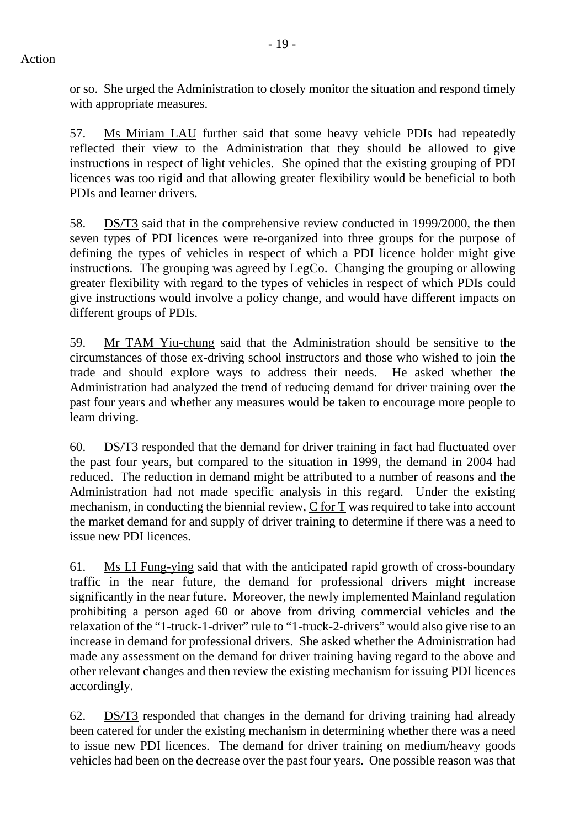or so. She urged the Administration to closely monitor the situation and respond timely with appropriate measures.

57. Ms Miriam LAU further said that some heavy vehicle PDIs had repeatedly reflected their view to the Administration that they should be allowed to give instructions in respect of light vehicles. She opined that the existing grouping of PDI licences was too rigid and that allowing greater flexibility would be beneficial to both PDIs and learner drivers.

58. DS/T3 said that in the comprehensive review conducted in 1999/2000, the then seven types of PDI licences were re-organized into three groups for the purpose of defining the types of vehicles in respect of which a PDI licence holder might give instructions. The grouping was agreed by LegCo. Changing the grouping or allowing greater flexibility with regard to the types of vehicles in respect of which PDIs could give instructions would involve a policy change, and would have different impacts on different groups of PDIs.

59. Mr TAM Yiu-chung said that the Administration should be sensitive to the circumstances of those ex-driving school instructors and those who wished to join the trade and should explore ways to address their needs. He asked whether the Administration had analyzed the trend of reducing demand for driver training over the past four years and whether any measures would be taken to encourage more people to learn driving.

60. DS/T3 responded that the demand for driver training in fact had fluctuated over the past four years, but compared to the situation in 1999, the demand in 2004 had reduced. The reduction in demand might be attributed to a number of reasons and the Administration had not made specific analysis in this regard. Under the existing mechanism, in conducting the biennial review, C for T was required to take into account the market demand for and supply of driver training to determine if there was a need to issue new PDI licences.

61. Ms LI Fung-ying said that with the anticipated rapid growth of cross-boundary traffic in the near future, the demand for professional drivers might increase significantly in the near future. Moreover, the newly implemented Mainland regulation prohibiting a person aged 60 or above from driving commercial vehicles and the relaxation of the "1-truck-1-driver" rule to "1-truck-2-drivers" would also give rise to an increase in demand for professional drivers. She asked whether the Administration had made any assessment on the demand for driver training having regard to the above and other relevant changes and then review the existing mechanism for issuing PDI licences accordingly.

62. DS/T3 responded that changes in the demand for driving training had already been catered for under the existing mechanism in determining whether there was a need to issue new PDI licences. The demand for driver training on medium/heavy goods vehicles had been on the decrease over the past four years. One possible reason was that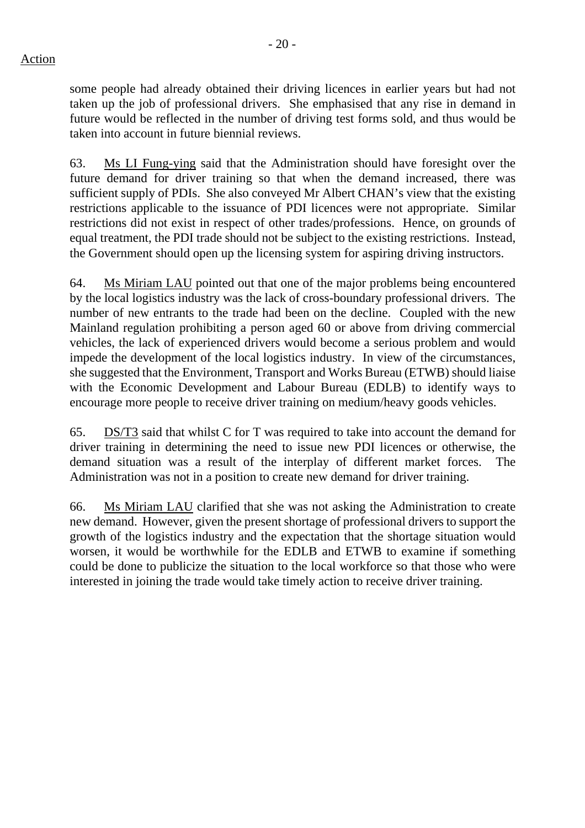some people had already obtained their driving licences in earlier years but had not taken up the job of professional drivers. She emphasised that any rise in demand in future would be reflected in the number of driving test forms sold, and thus would be taken into account in future biennial reviews.

63. Ms LI Fung-ying said that the Administration should have foresight over the future demand for driver training so that when the demand increased, there was sufficient supply of PDIs. She also conveyed Mr Albert CHAN's view that the existing restrictions applicable to the issuance of PDI licences were not appropriate. Similar restrictions did not exist in respect of other trades/professions. Hence, on grounds of equal treatment, the PDI trade should not be subject to the existing restrictions. Instead, the Government should open up the licensing system for aspiring driving instructors.

64. Ms Miriam LAU pointed out that one of the major problems being encountered by the local logistics industry was the lack of cross-boundary professional drivers. The number of new entrants to the trade had been on the decline. Coupled with the new Mainland regulation prohibiting a person aged 60 or above from driving commercial vehicles, the lack of experienced drivers would become a serious problem and would impede the development of the local logistics industry. In view of the circumstances, she suggested that the Environment, Transport and Works Bureau (ETWB) should liaise with the Economic Development and Labour Bureau (EDLB) to identify ways to encourage more people to receive driver training on medium/heavy goods vehicles.

65. DS/T3 said that whilst C for T was required to take into account the demand for driver training in determining the need to issue new PDI licences or otherwise, the demand situation was a result of the interplay of different market forces. The Administration was not in a position to create new demand for driver training.

66. Ms Miriam LAU clarified that she was not asking the Administration to create new demand. However, given the present shortage of professional drivers to support the growth of the logistics industry and the expectation that the shortage situation would worsen, it would be worthwhile for the EDLB and ETWB to examine if something could be done to publicize the situation to the local workforce so that those who were interested in joining the trade would take timely action to receive driver training.